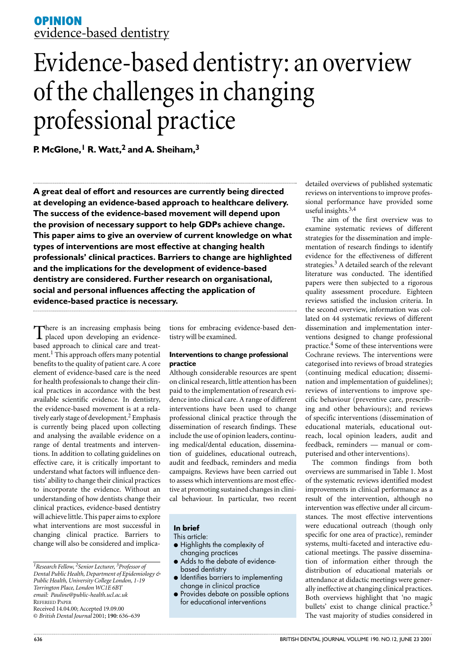# **OPINION** evidence-based dentistry

# Evidence-based dentistry: an overview of the challenges in changing professional practice

**P. McGlone,1 R. Watt,2 and A. Sheiham,3**

**A great deal of effort and resources are currently being directed at developing an evidence-based approach to healthcare delivery. The success of the evidence-based movement will depend upon the provision of necessary support to help GDPs achieve change. This paper aims to give an overview of current knowledge on what types of interventions are most effective at changing health professionals' clinical practices. Barriers to change are highlighted and the implications for the development of evidence-based dentistry are considered. Further research on organisational, social and personal influences affecting the application of evidence-based practice is necessary.**

There is an increasing emphasis being<br>placed upon developing an evidencebased approach to clinical care and treatment.<sup>1</sup> This approach offers many potential benefits to the quality of patient care. A core element of evidence-based care is the need for health professionals to change their clinical practices in accordance with the best available scientific evidence. In dentistry, the evidence-based movement is at a relatively early stage of development.<sup>2</sup> Emphasis is currently being placed upon collecting and analysing the available evidence on a range of dental treatments and interventions. In addition to collating guidelines on effective care, it is critically important to understand what factors will influence dentists' ability to change their clinical practices to incorporate the evidence. Without an understanding of how dentists change their clinical practices, evidence-based dentistry will achieve little. This paper aims to explore what interventions are most successful in changing clinical practice. Barriers to change will also be considered and implica-

tions for embracing evidence-based dentistry will be examined.

# **Interventions to change professional practice**

Although considerable resources are spent on clinical research, little attention has been paid to the implementation of research evidence into clinical care. A range of different interventions have been used to change professional clinical practice through the dissemination of research findings. These include the use of opinion leaders, continuing medical/dental education, dissemination of guidelines, educational outreach, audit and feedback, reminders and media campaigns. Reviews have been carried out to assess which interventions are most effective at promoting sustained changes in clinical behaviour. In particular, two recent

# **In brief**

This article:

- Highlights the complexity of changing practices
- Adds to the debate of evidencebased dentistry
- Identifies barriers to implementing change in clinical practice
- Provides debate on possible options for educational interventions

detailed overviews of published systematic reviews on interventions to improve professional performance have provided some useful insights.3,4

The aim of the first overview was to examine systematic reviews of different strategies for the dissemination and implementation of research findings to identify evidence for the effectiveness of different strategies.<sup>3</sup> A detailed search of the relevant literature was conducted. The identified papers were then subjected to a rigorous quality assessment procedure. Eighteen reviews satisfied the inclusion criteria. In the second overview, information was collated on 44 systematic reviews of different dissemination and implementation interventions designed to change professional practice.4 Some of these interventions were Cochrane reviews. The interventions were categorised into reviews of broad strategies (continuing medical education; dissemination and implementation of guidelines); reviews of interventions to improve specific behaviour (preventive care, prescribing and other behaviours); and reviews of specific interventions (dissemination of educational materials, educational outreach, local opinion leaders, audit and feedback, reminders — manual or computerised and other interventions).

The common findings from both overviews are summarised in Table 1. Most of the systematic reviews identified modest improvements in clinical performance as a result of the intervention, although no intervention was effective under all circumstances. The most effective interventions were educational outreach (though only specific for one area of practice), reminder systems, multi-faceted and interactive educational meetings. The passive dissemination of information either through the distribution of educational materials or attendance at didactic meetings were generally ineffective at changing clinical practices. Both overviews highlight that 'no magic bullets' exist to change clinical practice.<sup>5</sup> The vast majority of studies considered in

*<sup>1</sup>Research Fellow, 2Senior Lecturer, 3Professor of Dental Public Health, Department of Epidemiology & Public Health, University College London, 1-19 Torrington Place, London WC1E 6BT email: Pauline@public-health.ucl.ac.uk* REFEREED PAPER Received 14.04.00; Accepted 19.09.00 © *British Dental Journal* 2001; **190**: 636–639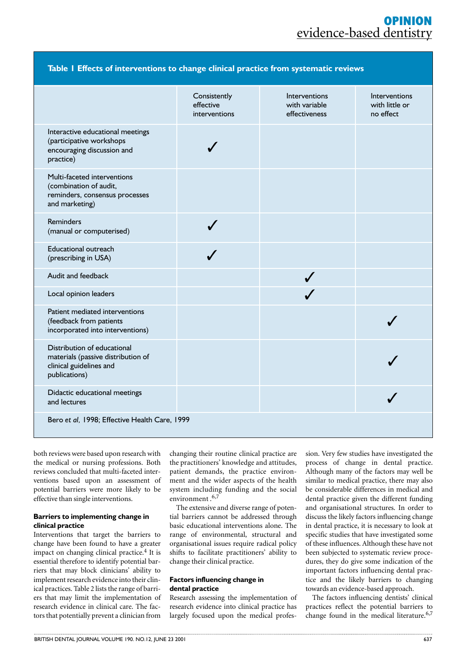# **OPINION** evidence-based dentistry

| Table I Effects of interventions to change clinical practice from systematic reviews                          |                                            |                                                        |                                              |
|---------------------------------------------------------------------------------------------------------------|--------------------------------------------|--------------------------------------------------------|----------------------------------------------|
|                                                                                                               | Consistently<br>effective<br>interventions | <b>Interventions</b><br>with variable<br>effectiveness | Interventions<br>with little or<br>no effect |
| Interactive educational meetings<br>(participative workshops<br>encouraging discussion and<br>practice)       |                                            |                                                        |                                              |
| Multi-faceted interventions<br>(combination of audit,<br>reminders, consensus processes<br>and marketing)     |                                            |                                                        |                                              |
| <b>Reminders</b><br>(manual or computerised)                                                                  |                                            |                                                        |                                              |
| <b>Educational outreach</b><br>(prescribing in USA)                                                           |                                            |                                                        |                                              |
| Audit and feedback                                                                                            |                                            |                                                        |                                              |
| Local opinion leaders                                                                                         |                                            |                                                        |                                              |
| Patient mediated interventions<br>(feedback from patients<br>incorporated into interventions)                 |                                            |                                                        |                                              |
| Distribution of educational<br>materials (passive distribution of<br>clinical guidelines and<br>publications) |                                            |                                                        |                                              |
| Didactic educational meetings<br>and lectures                                                                 |                                            |                                                        |                                              |
| Bero et al, 1998; Effective Health Care, 1999                                                                 |                                            |                                                        |                                              |

both reviews were based upon research with the medical or nursing professions. Both reviews concluded that multi-faceted interventions based upon an assessment of potential barriers were more likely to be effective than single interventions.

# **Barriers to implementing change in clinical practice**

Interventions that target the barriers to change have been found to have a greater impact on changing clinical practice.<sup>4</sup> It is essential therefore to identify potential barriers that may block clinicians' ability to implement research evidence into their clinical practices. Table 2 lists the range of barriers that may limit the implementation of research evidence in clinical care. The factors that potentially prevent a clinician from changing their routine clinical practice are the practitioners' knowledge and attitudes, patient demands, the practice environment and the wider aspects of the health system including funding and the social environment.<sup>6,7</sup>

The extensive and diverse range of potential barriers cannot be addressed through basic educational interventions alone. The range of environmental, structural and organisational issues require radical policy shifts to facilitate practitioners' ability to change their clinical practice.

## **Factors influencing change in dental practice**

Research assessing the implementation of research evidence into clinical practice has largely focused upon the medical profession. Very few studies have investigated the process of change in dental practice. Although many of the factors may well be similar to medical practice, there may also be considerable differences in medical and dental practice given the different funding and organisational structures. In order to discuss the likely factors influencing change in dental practice, it is necessary to look at specific studies that have investigated some of these influences. Although these have not been subjected to systematic review procedures, they do give some indication of the important factors influencing dental practice and the likely barriers to changing towards an evidence-based approach.

The factors influencing dentists' clinical practices reflect the potential barriers to change found in the medical literature.<sup>6,7</sup>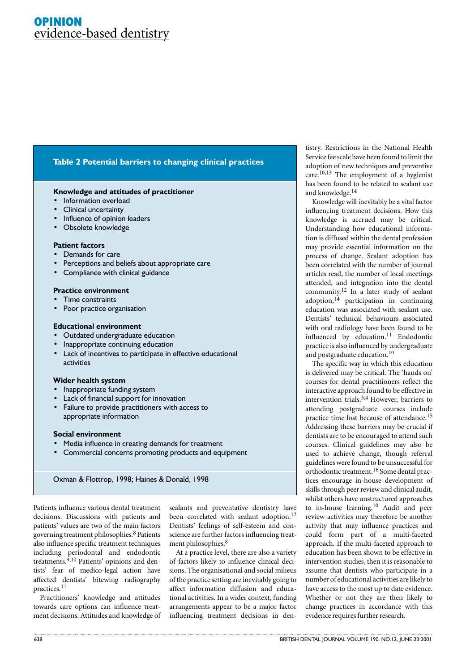# **OPINION** evidence-based dentistry

# **Table 2 Potential barriers to changing clinical practices**

#### **Knowledge and attitudes of practitioner**

- Information overload
- Clinical uncertainty
- Influence of opinion leaders
- Obsolete knowledge

## **Patient factors**

- Demands for care
- Perceptions and beliefs about appropriate care
- Compliance with clinical guidance

#### **Practice environment**

- Time constraints
- Poor practice organisation

#### **Educational environment**

- Outdated undergraduate education
- Inappropriate continuing education
- Lack of incentives to participate in effective educational activities

#### **Wider health system**

- Inappropriate funding system
- Lack of financial support for innovation
- Failure to provide practitioners with access to appropriate information

#### **Social environment**

- Media influence in creating demands for treatment
- Commercial concerns promoting products and equipment

Oxman & Flottrop, 1998; Haines & Donald, 1998

Patients influence various dental treatment decisions. Discussions with patients and patients' values are two of the main factors governing treatment philosophies.8 Patients also influence specific treatment techniques including periodontal and endodontic treatments.<sup>9,10</sup> Patients' opinions and dentists' fear of medico-legal action have affected dentists' bitewing radiography practices.11

Practitioners' knowledge and attitudes towards care options can influence treatment decisions. Attitudes and knowledge of sealants and preventative dentistry have been correlated with sealant adoption.<sup>12</sup> Dentists' feelings of self-esteem and conscience are further factors influencing treatment philosophies.<sup>8</sup>

At a practice level, there are also a variety of factors likely to influence clinical decisions. The organisational and social milieus of the practice setting are inevitably going to affect information diffusion and educational activities. In a wider context, funding arrangements appear to be a major factor influencing treatment decisions in den-

tistry. Restrictions in the National Health Service fee scale have been found to limit the adoption of new techniques and preventive care.10,13 The employment of a hygienist has been found to be related to sealant use and knowledge.14

Knowledge will inevitably be a vital factor influencing treatment decisions. How this knowledge is accrued may be critical. Understanding how educational information is diffused within the dental profession may provide essential information on the process of change. Sealant adoption has been correlated with the number of journal articles read, the number of local meetings attended, and integration into the dental community.12 In a later study of sealant adoption, $14$  participation in continuing education was associated with sealant use. Dentists' technical behaviours associated with oral radiology have been found to be influenced by education.<sup>11</sup> Endodontic practice is also influenced by undergraduate and postgraduate education.<sup>10</sup>

The specific way in which this education is delivered may be critical. The 'hands on' courses for dental practitioners reflect the interactive approach found to be effective in intervention trials.3,4 However, barriers to attending postgraduate courses include practice time lost because of attendance.15 Addressing these barriers may be crucial if dentists are to be encouraged to attend such courses. Clinical guidelines may also be used to achieve change, though referral guidelines were found to be unsuccessful for orthodontic treatment.16 Some dental practices encourage in-house development of skills through peer review and clinical audit, whilst others have unstructured approaches to in-house learning.10 Audit and peer review activities may therefore be another activity that may influence practices and could form part of a multi-faceted approach. If the multi-faceted approach to education has been shown to be effective in intervention studies, then it is reasonable to assume that dentists who participate in a number of educational activities are likely to have access to the most up to date evidence. Whether or not they are then likely to change practices in accordance with this evidence requires further research.